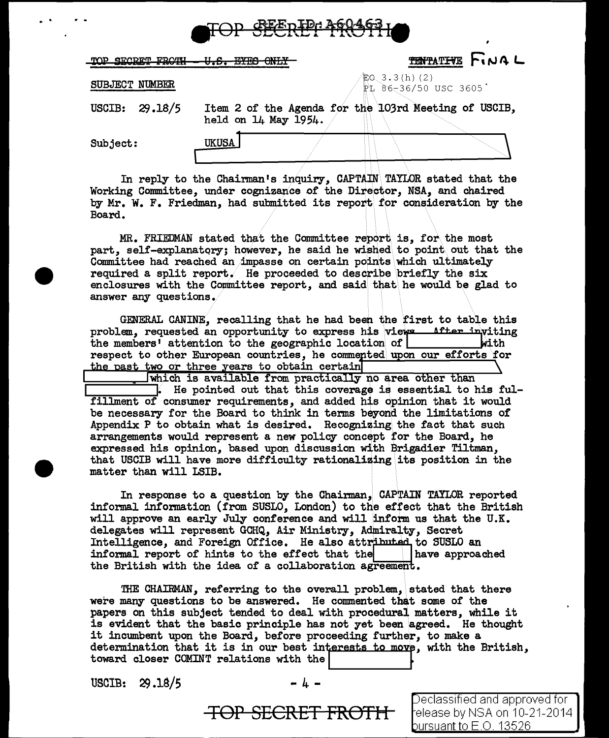

| טחימקים חים סיום | רי הדלי הד<br><b>AITT 17</b> | <b>TENTATIVE FINAL</b>                               |
|------------------|------------------------------|------------------------------------------------------|
| SUBJECT NUMBER   |                              | 電⊙ 3.3(h)(2)<br>⊉L 86–36/50 USC 3605`                |
| USCIB: $29.18/5$ | held on 14 May 1954.         | Item 2 of the Agenda for the 103rd Meeting of USCIB, |
| Subject:         | <b>UKUSA</b>                 |                                                      |

In reply to the Chairman's inquiry, CAPTAIN\ TAYLOR stated that the Working Committee, under cognizance of the Director, N\$A, and chaired by Mr. W. F. Friedman, had submitted its report for consideration by the Board.

MR. FRIEDMAN stated that the Committee report is, for\ the most part, self-explanatory; however, he said he wished to point out that the Committee had reached an impasse on certain points which ultimately required a split report. He proceeded to describe \briefly the six enclosures with the Committee report, and said that\ he would be glad to answer any questions.

GENERAL CANINE, recalling that he had been the first to table this problem, requested an opportunity to express his views after inviting the members' attention to the geographic location of. respect to other European countries, he commented upon our efforts for the past two or three years to obtain certain

which is available from practically no area other than ]. He pointed out that this coverage is essential to his fulfillment of' consumer requirements, and added his opinion that it would be necessary for the Board to think in terms beyond the limitations of' Appendix P to obtain what is desired. Recognizing the fact that such arrangements would represent a new policy concept for the Board, he expressed his opinion, based upon discussion with Brigadier Tiltman. that USCIB will have more difficulty rationalizing its position in the matter than will LSIB.

In response to a question by the Chairman, CAPTAIN TAYLOR reported informal information (from SUSLO, London) to the effect that the British will approve an early July conference and will inform us that the U.K. with approve an early oury conference and with inform as onat the<br>delegates will represent GCHQ, Air Ministry, Admiralty, Secret<br>Intelligence, and Foreign Office. He also attributed to SUSLO an<br>informal means of bints to t informal report of hints to the effect that the  $\vert$  have approached the British with the idea of a collaboration agreement.

THE CHAIRMAN, referring to the overall problem, stated that there were many questions to be answered. He commented that some of the papers on this subject tended to deal with procedural matters, while it is evident that the basic principle has not yet been agreed. He thought it incumbent upon the Board, before proceeding further, to make a determination that it is in our best interests to move, with the British, toward closer COMINT relations with the

 $USCIB: 29.18/5$ 

. .

**TOP SECRET FROTH** 

Jeclassified and approved for elease by NSA on 10-21-2014 bursuant to E.O. 13526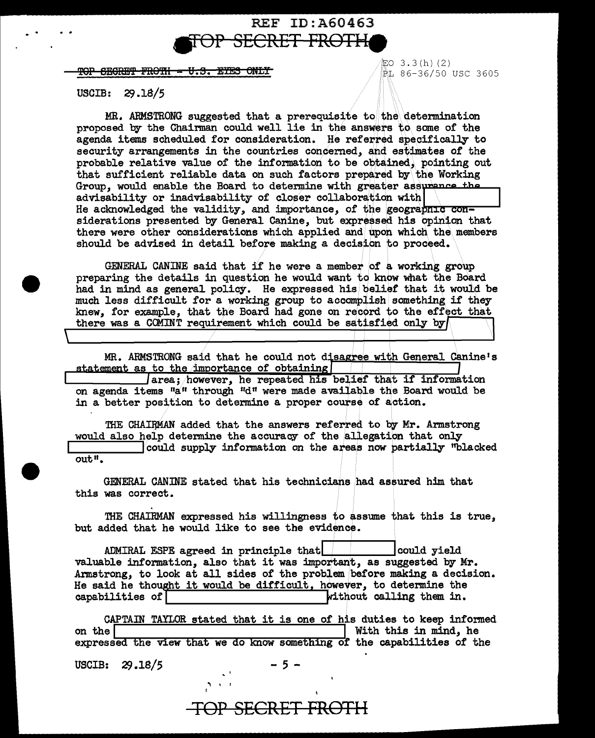## REF ID: A60463 <del>ERET FROTH</del>

<del>SEGRET FROTH - U.S. EYES ONLY</del>

EO  $3.3(h)$  (2) LL 86-36/50 USC 3605

#### **USCIB:**  $29.18/5$

MR. ARMSTRONG suggested that a prerequisite to the determination proposed by the Chairman could well lie in the answers to some of the agenda items scheduled for consideration. He referred specifically to security arrangements in the countries concerned, and estimates of the probable relative value of the information to be obtained, pointing out that sufficient reliable data on such factors prepared by the Working Group, would enable the Board to determine with greater assurance the advisability or inadvisability of closer collaboration with He acknowledged the validity, and importance, of the geographic considerations presented by General Canine, but expressed his opinion that there were other considerations which applied and upon which the members should be advised in detail before making a decision to proceed.

GENERAL CANINE said that if he were a member of a working group preparing the details in question he would want to know what the Board had in mind as general policy. He expressed his belief that it would be much less difficult for a working group to accomplish something if they knew, for example, that the Board had gone on record to the effect that there was a COMINT requirement which could be satisfied only by

MR. ARMSTRONG said that he could not disagree with General Canine's statement as to the importance of obtaining

academent as to the importance of obtaining<br>area; however, he repeated his belief that if information<br>on agenda items "a" through "d" were made available the Board would be in a better position to determine a proper course of action.

THE CHAIRMAN added that the answers referred to by Mr. Armstrong would also help determine the accuracy of the allegation that only could supply information on the areas now partially "blacked" out".

GENERAL CANINE stated that his technicians had assured him that this was correct.

THE CHAIRMAN expressed his willingness to assume that this is true, but added that he would like to see the evidence.

ADMIRAL ESPE agreed in principle that could yield valuable information, also that it was important, as suggested by Mr. Armstrong, to look at all sides of the problem before making a decision. He said he thought it would be difficult, however, to determine the capabilities of without calling them in.

CAPTAIN TAYLOR stated that it is one of his duties to keep informed With this in mind, he on the expressed the view that we do know something of the capabilities of the

USCIB:  $29.18/5$ 

- 5 -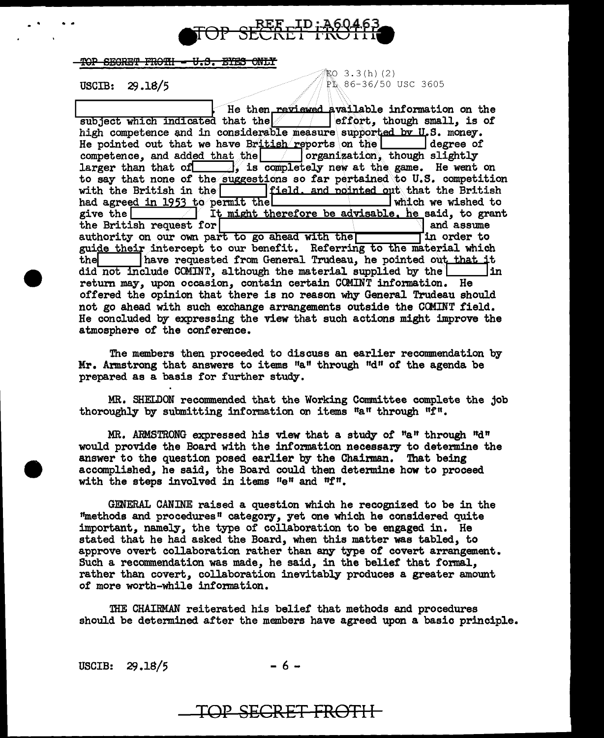

### TOP SEGRET FROTH - U.S. EYES ONLY

 $EO$  3.3(h) (2) **USCIB: 29.18/5** .  $18/5$ 

He then reviewed available information on the hat the  $\begin{array}{|l|} \hline \end{array}$  effort, though small, is of subject which indicated that the  $\frac{1}{2}$  effort, though small, is  $\frac{1}{2}$  is the competence and in considerable measure supported by U.S. money. He pointed out that we have British reports on the  $\Box$  degree of competence, and added that the  $\Box$  organization, though slightly competence, and added that the  $\vert$ larger than that of  $\qquad$  is completely new at the game. He went on to say that none of the suggestions so far pertained to U.S. competition<br>with the British in the field. and nointed out that the British<br>had agreed in 1953 to permit the summer which we wished to had agreed in 1953 to permit the give the  $\sqrt{\frac{1}{\pi}}$  $\overline{\hspace{.16cm}}$  It might therefore be advisable. he said, to grant it for the British request for  $\begin{array}{c|c} \text{the British request for} \\ \text{authority on our own part to go ahead with the } \end{array}$  and assume authority on our own part to go ahead with the guide their intercept to our benefit. Referring to the material which<br>the lawe requested from General Trudeau, he pointed out that it have requested from General Trudeau, he pointed ou<del>t that it</del><br>clude COMINT. althou*g*h the material supplied by the did not include COMINT, although the material supplied by the  $\blacksquare$ return may, upon occasion, contain certain COMINT information. He offered the opinion that there is no reason why General Trudeau should not go ahead with such exchange arrangements outside the CCMINT field. He concluded by expressing the view that such actions might improve the atmosphere of the conference.

The members then proceeded to discuss an earlier recommendation by Mr. Armstrong that answers to items "a" through "d" of the agenda be prepared as a basis for further study.

MR. SHELDON recommended that the Working Committee complete the job thoroughly by submitting information on items  $a_n$  through  $nf_n$ .

MR. ARMSTRONG expressed his view that a study of  $a_n$  through  $n a_n$ would provide the Board with the information necessary to determine the answer to the question posed earlier by the Chairman. That being accomplished, he said, the Board could then determine how to proceed with the steps involved in items "e" and "f".

GENERAL CANINE raised a question which he recognized to be in the 1'methods and procedures 11 category, yet one which he considered quite important, namely, the type of collaboration to be engaged in. He stated that he had asked the Board, when this matter was tabled, to approve overt collaboration rather than any type of covert arrangement. Such a recommendation was made, he said, in the belief that formal, rather than covert, collaboration inevitably produces a greater amount of more worth-while information.

'IHE CHAIRMAN reiterated his belief that methods and procedures should be detennined after the members have agreed upon a basic principle.

USCIB:  $29.18/5$  - 6 -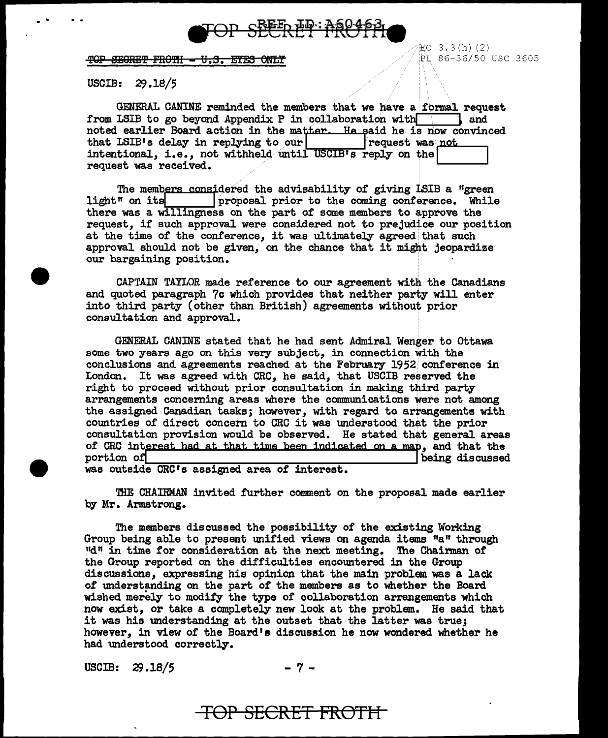

### TOP SECRET FROTH - U.S. EYES ONLY

USCIB: 29.18/5

GENERAL CANINE reminded the members that we have a formal request<br>LSIB to go beyond Appendix P in collaboration with  $\blacksquare$  and from LSIB to go beyond Appendix P in collaboration with noted earlier Board action in the matter. He said he is now convinced that LSIB's delay in replying to our request was not intentional, i.e., not withheld until USCIB's reply on the request was received.

The members considered the advisability of giving LSIB a "green light" on its proposal prior to the coming conference. While there was a willingness on the part of some members to approve the request, if such approval were considered not to prejudice our position at the time of the conference, it was ultimately agreed that such approval should not be given, on the chance that it might jeopardize our bargaining position.

CAPTAIN TAYLOR made reference to our agreement with the Canadians and quoted paragraph 7c which provides that neither party will enter into third party (other than British) agreements without prior consultation and approval.

GENERAL CANINE stated that he had sent Admiral Wenger to Ottawa some two years ago on this very subject, in connection with the conclusions and agreements reached at the February 1952 conference in London. It was agreed with CRC, he said, that USCIB reserved the right to proceed without prior consultation in making third party arrangements concerning areas where the communications were not among the assigned Canadian tasks; however, with regard to arrangements with countries of direct concern to CRC it was understood that the prior consultation provision would be observed. He stated that general areas of CRC interest had at that time been indicated on a map, and that the portion of being discussed

was outside CRC's assigned area of interest.

'IHE CHAIRMAN invited further comment on the proposal made earlier by Mr. Armstrong.

The members discussed the possibility of the existing Working Group being able to present unified views on agenda items 1'a" through  $"d"$  in time for consideration at the next meeting. The Chairman of the Group reported on the difficulties encountered in the Group discussions, expressing his opinion that the main problem was a lack of understanding on the part of the members as to whether the Board wished merely to modify the type of collaboration arrangements which now exist, or take a completely new look at the problem. He said that it was his understanding at the outset that the latter was true; however, in view of the Board's discussion he now wondered whether he had understood correctly.

USCIB:  $29.18/5$  - 7 -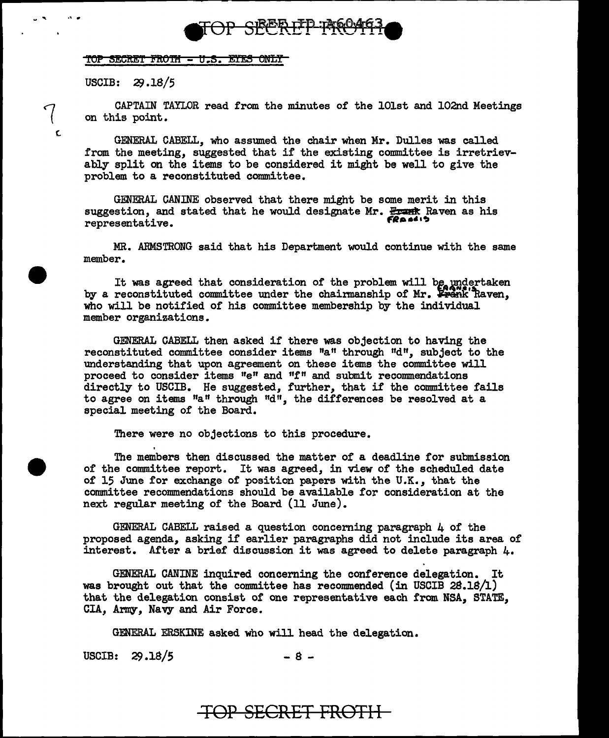

### TOP SECRET FROTH - U.S. EYES ONLY

USCIB: 29.18/5

,, ..

(.

 $\overline{\mathcal{C}}$ 

CAPTAIN TAYLOR read from the minutes of the lOlst and 102nd Meetings on this point.

GENERAL CABELL, who assumed the chair when Mr. Dulles was called from the meeting, suggested that if the existing committee is irretrievably split on the items to be considered it might be well to give the problem to a reconstituted committee.

GENERAL CANINE observed that there might be some merit in this GENERAL CANINE observed that there might be some merit in this<br>suggestion, and stated that he would designate Mr. <del>Frank</del> Raven as his<br>representative.

MR. ARMSTRONG said that his Department would continue with the same member.

It was agreed that consideration of the problem will be undertaken by a reconstituted committee under the chairmanship of  $Mr.$  Frank Raven, who will be notified of his committee membership by the individual member organizations.

GENERAL CABELL then asked if there was objection to having the reconstituted committee consider items "a" through "d", subject to the understanding that upon agreement on these items the committee will proceed to consider items "e" and 11f" and submit recommendations directly to USCIB. He suggested, further, that if the committee fails to agree on items "a" through "d", the differences be resolved at a special meeting of the Board.

There were no objections to this procedure.

The members then discussed the matter of a deadline for submission of the committee report. It was agreed, in view of the scheduled date of 15 June for exchange of position papers with the U.K., that the committee recommendations should be available for consideration at the next regular meeting of the Board (11 June).

GENERAL CABELL raised a question concerning paragraph 4 of the proposed agenda, asking if earlier paragraphs did not include its area of interest. After a brief discussion it was agreed to delete paragraph  $\mu$ .

GENERAL CANINE inquired concerning the conference delegation. It was brought out that the committee has recommended (in USCIB 28.18/1) that the delegation consist of one representative each from NSA, STATE, CIA, Army, Navy and Air Force.

GENERAL ERSKINE asked who will head the delegation.

USCIB:  $29.18/5$  - 8 -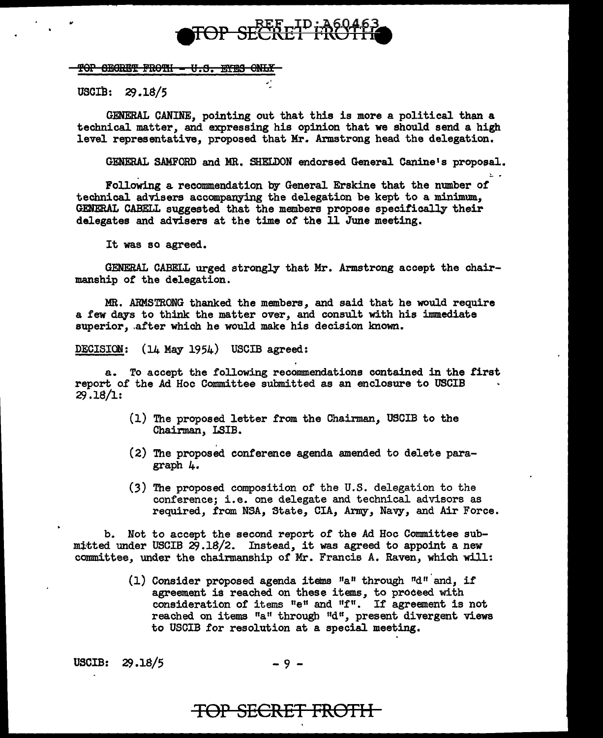# TOP SECRET FROT

### <u> 10P SEGRËT FROTH - U.S. EYES ONLY</u>

USCIB: 29.18/5

,,

GENERAL CANINE, pointing out that this is more a political than a technical matter, and expressing his opinion that we should send a high level representative, proposed that Mr. Armstrong head the delegation.

GENERAL SAMFORD and MR. SHELDON endorsed General Canine's proposal.<br>Following a recommendation by General Erskine that the number of

technical advisers accompanying the delegation be kept to a minimum, GENERAL CABELL suggested that the members propose specifically their delegates and advisers at the time of the 11 June meeting.

It was so agreed.

GENERAL CABELL urged strongly that Mr. Armstrong accept the chairmanship of the delegation.

MR. ARMSTRONG thanked the members, and said that he would require a few days to think the matter over, and consult with his immediate superior, after which he would make his decision known.

DECISION: (14 May 1954) USCIB agreed:

a. To accept the following recommendations contained in the first report 0£ the Ad Hoc Committee submitted as an enclosure to USCIB  $29.18/1:$ 

- (1) The proposed letter from the Chairman, USCIB to the Chairman, LSIB.
- (2) The proposed conference agenda amended to delete paragraph 4.
- (3) The proposed composition of the U.S. delegation to the conference; i.e. one delegate and technical advisors as required, from NSA, State, CIA, Army, Navy, and Air Force.

b. Not to accept the second report of the Ad Hoc Committee submitted under USCIB  $29.18/2$ . Instead, it was agreed to appoint a new committee, under the chairmanship of Mr. Francis A. Raven, which will:

> (1) Consider proposed agenda items  $"a"$  through  $"d"$  and, if agreement is reached on these items, to proceed with consideration of items "e" and "f". If agreement is not reached on items "a" through "d", present divergent views to USCIB for resolution at a special meeting.

USCIB:  $29.18/5$  - 9 -